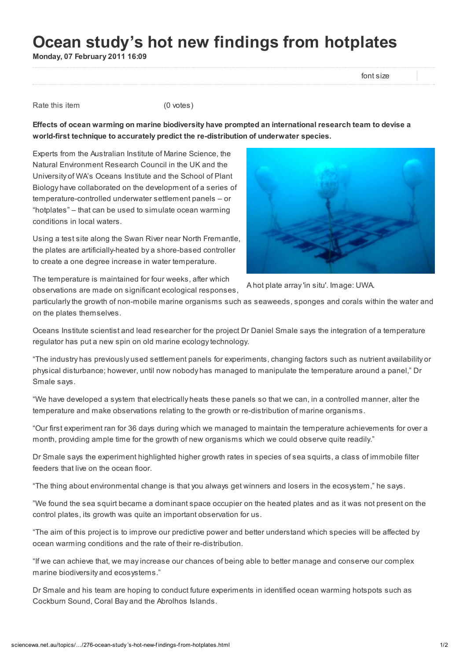## Ocean study's hot new findings from hotplates

Monday, 07 February 2011 16:09

font size

Rate this item (0 votes)

Effects of ocean warming on marine biodiversity have prompted an international research team to devise a world-first technique to accurately predict the re-distribution of underwater species.

Experts from the Australian Institute of Marine Science, the Natural Environment Research Council in the UK and the University of WA's Oceans Institute and the School of Plant Biology have collaborated on the development of a series of temperature-controlled underwater settlement panels – or "hotplates" – that can be used to simulate ocean warming conditions in local waters.

Using a test site along the Swan River near North Fremantle, the plates are artificially-heated by a shore-based controller to create a one degree increase in water temperature.

The temperature is maintained for four weeks, after which

A hot plate array 'in situ'. Image: UWA. observations are made on significant ecological responses,

particularly the growth of non-mobile marine organisms such as seaweeds, sponges and corals within the water and on the plates themselves.

Oceans Institute scientist and lead researcher for the project Dr Daniel Smale says the integration of a temperature regulator has put a new spin on old marine ecology technology.

"The industry has previously used settlement panels for experiments, changing factors such as nutrient availability or physical disturbance; however, until now nobody has managed to manipulate the temperature around a panel," Dr Smale says.

"We have developed a system that electrically heats these panels so that we can, in a controlled manner, alter the temperature and make observations relating to the growth or re-distribution of marine organisms.

"Our first experiment ran for 36 days during which we managed to maintain the temperature achievements for over a month, providing ample time for the growth of new organisms which we could observe quite readily."

Dr Smale says the experiment highlighted higher growth rates in species of sea squirts, a class of immobile filter feeders that live on the ocean floor.

"The thing about environmental change is that you always get winners and losers in the ecosystem," he says.

"We found the sea squirt became a dominant space occupier on the heated plates and as it was not present on the control plates, its growth was quite an important observation for us.

"The aim of this project is to improve our predictive power and better understand which species will be affected by ocean warming conditions and the rate of their re-distribution.

"If we can achieve that, we may increase our chances of being able to better manage and conserve our complex marine biodiversity and ecosystems."

Dr Smale and his team are hoping to conduct future experiments in identified ocean warming hotspots such as Cockburn Sound, Coral Bay and the Abrolhos Islands.